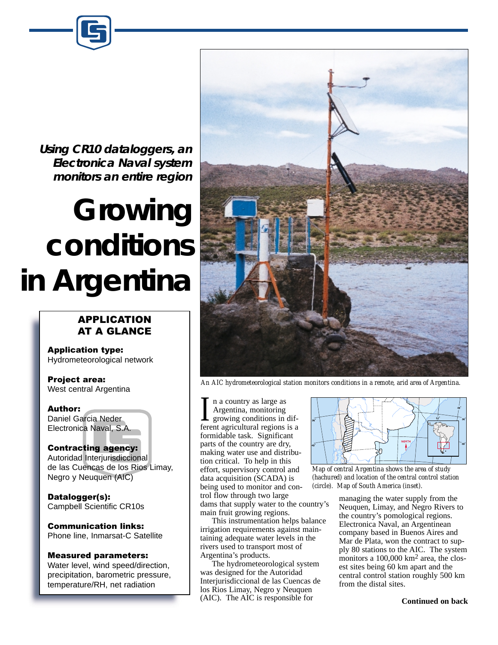**Using CR10 dataloggers, an Electronica Naval system monitors an entire region**

# **Growing conditions in Argentina**

## **APPLICATION** AT A GLANCE

**Application type:** Hydrometeorological network

Project area: West central Argentina

**Author:** 

Daniel Garcia Neder Electronica Naval, S.A.

#### **Contracting agency:**

Autoridad Interjurisdiccional de las Cuencas de los Rios Limay, Negro y Neuquen (AIC)

Datalogger(s): Campbell Scientific CR10s

**Communication links:** Phone line, Inmarsat-C Satellite

### **Measured parameters:**

Water level, wind speed/direction, precipitation, barometric pressure, temperature/RH, net radiation



*An AIC hydrometeorological station monitors conditions in a remote, arid area of Argentina.*

n a country as large as Argentina, monitoring growing conditions in dif-I a country as large as<br>Argentina, monitoring<br>growing conditions in dif-<br>ferent agricultural regions is a formidable task. Significant parts of the country are dry, making water use and distribution critical. To help in this effort, supervisory control and data acquisition (SCADA) is being used to monitor and control flow through two large dams that supply water to the country's main fruit growing regions.

This instrumentation helps balance irrigation requirements against maintaining adequate water levels in the rivers used to transport most of Argentina's products.

The hydrometeorological system was designed for the Autoridad Interjurisdiccional de las Cuencas de los Rios Limay, Negro y Neuquen (AIC). The AIC is responsible for



*Map of central Argentina shows the area of study (hachured) and location of the central control station (circle). Map of South America (inset).*

managing the water supply from the Neuquen, Limay, and Negro Rivers to the country's pomological regions. Electronica Naval, an Argentinean company based in Buenos Aires and Mar de Plata, won the contract to supply 80 stations to the AIC. The system monitors a 100,000 km<sup>2</sup> area, the closest sites being 60 km apart and the central control station roughly 500 km from the distal sites.

**Continued on back**